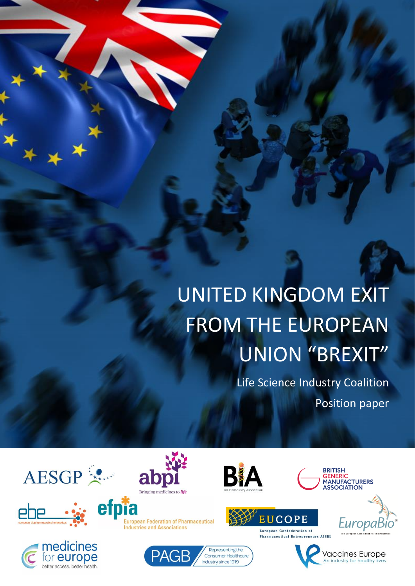# UNITED KINGDOM EXIT FROM THE EUROPEAN UNION "BREXIT"

Life Science Industry Coalition Position paper





i





**European Federation of Pharmaceutical Industries and Associations** 









**European Confederation of Pharmaceutical Entrepreneurs AISBL** 

**EUCOPE** 

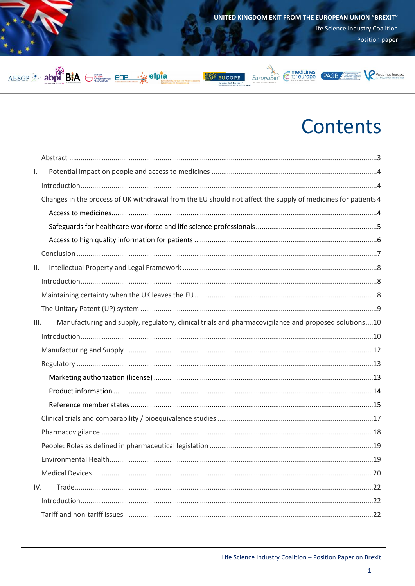

# **Contents**

| Τ.   |                                                                                                              |  |
|------|--------------------------------------------------------------------------------------------------------------|--|
|      |                                                                                                              |  |
|      | Changes in the process of UK withdrawal from the EU should not affect the supply of medicines for patients 4 |  |
|      |                                                                                                              |  |
|      |                                                                                                              |  |
|      |                                                                                                              |  |
|      |                                                                                                              |  |
| Ш.   |                                                                                                              |  |
|      |                                                                                                              |  |
|      |                                                                                                              |  |
|      |                                                                                                              |  |
| III. | Manufacturing and supply, regulatory, clinical trials and pharmacovigilance and proposed solutions10         |  |
|      |                                                                                                              |  |
|      |                                                                                                              |  |
|      |                                                                                                              |  |
|      |                                                                                                              |  |
|      |                                                                                                              |  |
|      |                                                                                                              |  |
|      |                                                                                                              |  |
|      |                                                                                                              |  |
|      |                                                                                                              |  |
|      |                                                                                                              |  |
|      |                                                                                                              |  |
| IV.  |                                                                                                              |  |
|      |                                                                                                              |  |
|      |                                                                                                              |  |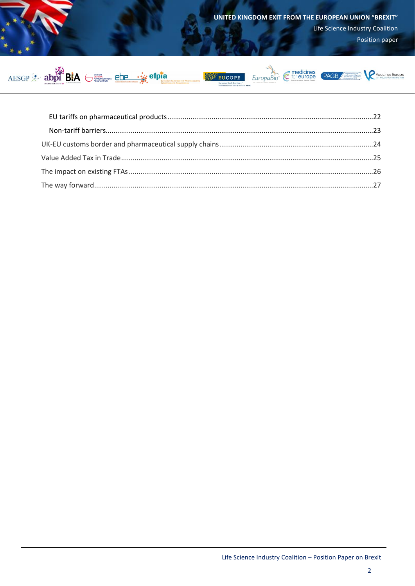



**SAY EUCOPE** 





Vaccines Europe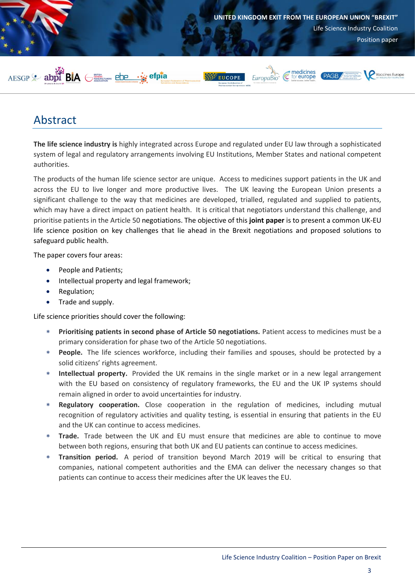

## <span id="page-3-0"></span>Abstract

**The life science industry is** highly integrated across Europe and regulated under EU law through a sophisticated system of legal and regulatory arrangements involving EU Institutions, Member States and national competent authorities.

The products of the human life science sector are unique. Access to medicines support patients in the UK and across the EU to live longer and more productive lives. The UK leaving the European Union presents a significant challenge to the way that medicines are developed, trialled, regulated and supplied to patients, which may have a direct impact on patient health. It is critical that negotiators understand this challenge, and prioritise patients in the Article 50 negotiations. The objective of this **joint paper** is to present a common UK-EU life science position on key challenges that lie ahead in the Brexit negotiations and proposed solutions to safeguard public health.

The paper covers four areas:

- People and Patients;
- Intellectual property and legal framework;
- Regulation;
- Trade and supply.

Life science priorities should cover the following:

- **Prioritising patients in second phase of Article 50 negotiations.** Patient access to medicines must be a primary consideration for phase two of the Article 50 negotiations.
- **People.** The life sciences workforce, including their families and spouses, should be protected by a solid citizens' rights agreement.
- **Intellectual property.** Provided the UK remains in the single market or in a new legal arrangement with the EU based on consistency of regulatory frameworks, the EU and the UK IP systems should remain aligned in order to avoid uncertainties for industry.
- **Regulatory cooperation.** Close cooperation in the regulation of medicines, including mutual recognition of regulatory activities and quality testing, is essential in ensuring that patients in the EU and the UK can continue to access medicines.
- **Trade.** Trade between the UK and EU must ensure that medicines are able to continue to move between both regions, ensuring that both UK and EU patients can continue to access medicines.
- **Transition period.** A period of transition beyond March 2019 will be critical to ensuring that companies, national competent authorities and the EMA can deliver the necessary changes so that patients can continue to access their medicines after the UK leaves the EU.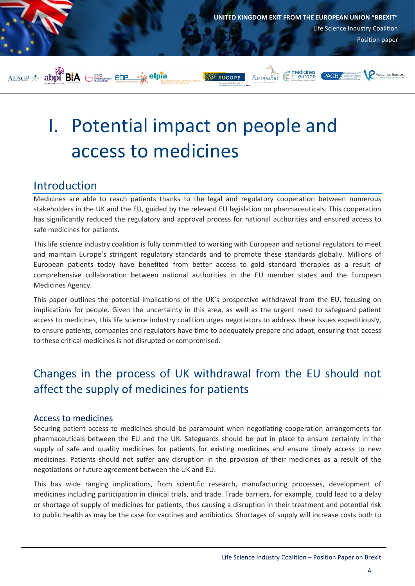

# <span id="page-4-0"></span>I. Potential impact on people and access to medicines

## <span id="page-4-1"></span>Introduction

Medicines are able to reach patients thanks to the legal and regulatory cooperation between numerous stakeholders in the UK and the EU, guided by the relevant EU legislation on pharmaceuticals. This cooperation has significantly reduced the regulatory and approval process for national authorities and ensured access to safe medicines for patients.

This life science industry coalition is fully committed to working with European and national regulators to meet and maintain Europe's stringent regulatory standards and to promote these standards globally. Millions of European patients today have benefited from better access to gold standard therapies as a result of comprehensive collaboration between national authorities in the EU member states and the European Medicines Agency.

This paper outlines the potential implications of the UK's prospective withdrawal from the EU, focusing on implications for people. Given the uncertainty in this area, as well as the urgent need to safeguard patient access to medicines, this life science industry coalition urges negotiators to address these issues expeditiously, to ensure patients, companies and regulators have time to adequately prepare and adapt, ensuring that access to these critical medicines is not disrupted or compromised.

# <span id="page-4-2"></span>Changes in the process of UK withdrawal from the EU should not affect the supply of medicines for patients

### <span id="page-4-3"></span>Access to medicines

Securing patient access to medicines should be paramount when negotiating cooperation arrangements for pharmaceuticals between the EU and the UK. Safeguards should be put in place to ensure certainty in the supply of safe and quality medicines for patients for existing medicines and ensure timely access to new medicines. Patients should not suffer any disruption in the provision of their medicines as a result of the negotiations or future agreement between the UK and EU.

This has wide ranging implications, from scientific research, manufacturing processes, development of medicines including participation in clinical trials, and trade. Trade barriers, for example, could lead to a delay or shortage of supply of medicines for patients, thus causing a disruption in their treatment and potential risk to public health as may be the case for vaccines and antibiotics. Shortages of supply will increase costs both to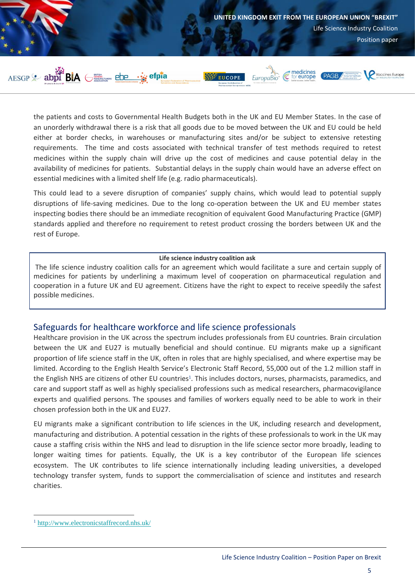

the patients and costs to Governmental Health Budgets both in the UK and EU Member States. In the case of an unorderly withdrawal there is a risk that all goods due to be moved between the UK and EU could be held either at border checks, in warehouses or manufacturing sites and/or be subject to extensive retesting requirements. The time and costs associated with technical transfer of test methods required to retest medicines within the supply chain will drive up the cost of medicines and cause potential delay in the availability of medicines for patients. Substantial delays in the supply chain would have an adverse effect on essential medicines with a limited shelf life (e.g. radio pharmaceuticals).

This could lead to a severe disruption of companies' supply chains, which would lead to potential supply disruptions of life-saving medicines. Due to the long co-operation between the UK and EU member states inspecting bodies there should be an immediate recognition of equivalent Good Manufacturing Practice (GMP) standards applied and therefore no requirement to retest product crossing the borders between UK and the rest of Europe.

#### **Life science industry coalition ask**

The life science industry coalition calls for an agreement which would facilitate a sure and certain supply of medicines for patients by underlining a maximum level of cooperation on pharmaceutical regulation and cooperation in a future UK and EU agreement. Citizens have the right to expect to receive speedily the safest possible medicines.

#### <span id="page-5-0"></span>Safeguards for healthcare workforce and life science professionals

Healthcare provision in the UK across the spectrum includes professionals from EU countries. Brain circulation between the UK and EU27 is mutually beneficial and should continue. EU migrants make up a significant proportion of life science staff in the UK, often in roles that are highly specialised, and where expertise may be limited. According to the English Health Service's Electronic Staff Record, 55,000 out of the 1.2 million staff in the English NHS are citizens of other EU countries<sup>1</sup>. This includes doctors, nurses, pharmacists, paramedics, and care and support staff as well as highly specialised professions such as medical researchers, pharmacovigilance experts and qualified persons. The spouses and families of workers equally need to be able to work in their chosen profession both in the UK and EU27.

EU migrants make a significant contribution to life sciences in the UK, including research and development, manufacturing and distribution. A potential cessation in the rights of these professionals to work in the UK may cause a staffing crisis within the NHS and lead to disruption in the life science sector more broadly, leading to longer waiting times for patients. Equally, the UK is a key contributor of the European life sciences ecosystem. The UK contributes to life science internationally including leading universities, a developed technology transfer system, funds to support the commercialisation of science and institutes and research charities.

 $\overline{a}$ 

<sup>1</sup> <http://www.electronicstaffrecord.nhs.uk/>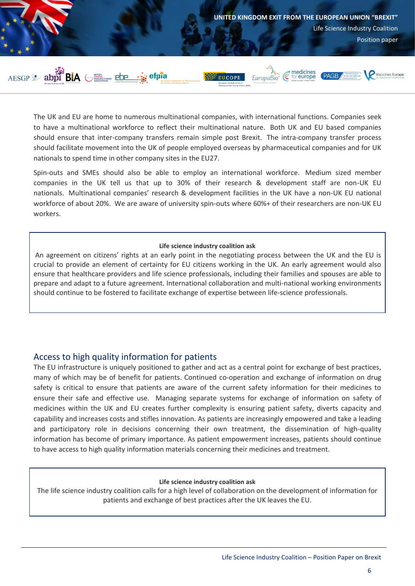

The UK and EU are home to numerous multinational companies, with international functions. Companies seek to have a multinational workforce to reflect their multinational nature. Both UK and EU based companies should ensure that inter-company transfers remain simple post Brexit. The intra-company transfer process should facilitate movement into the UK of people employed overseas by pharmaceutical companies and for UK nationals to spend time in other company sites in the EU27.

Spin-outs and SMEs should also be able to employ an international workforce. Medium sized member companies in the UK tell us that up to 30% of their research & development staff are non-UK EU nationals. Multinational companies' research & development facilities in the UK have a non-UK EU national workforce of about 20%. We are aware of university spin-outs where 60%+ of their researchers are non-UK EU workers.

#### **Life science industry coalition ask**

An agreement on citizens' rights at an early point in the negotiating process between the UK and the EU is crucial to provide an element of certainty for EU citizens working in the UK. An early agreement would also ensure that healthcare providers and life science professionals, including their families and spouses are able to prepare and adapt to a future agreement. International collaboration and multi-national working environments should continue to be fostered to facilitate exchange of expertise between life-science professionals.

### <span id="page-6-0"></span>Access to high quality information for patients

The EU infrastructure is uniquely positioned to gather and act as a central point for exchange of best practices, many of which may be of benefit for patients. Continued co-operation and exchange of information on drug safety is critical to ensure that patients are aware of the current safety information for their medicines to ensure their safe and effective use. Managing separate systems for exchange of information on safety of medicines within the UK and EU creates further complexity is ensuring patient safety, diverts capacity and capability and increases costs and stifles innovation. As patients are increasingly empowered and take a leading and participatory role in decisions concerning their own treatment, the dissemination of high-quality information has become of primary importance. As patient empowerment increases, patients should continue to have access to high quality information materials concerning their medicines and treatment.

#### **Life science industry coalition ask**

The life science industry coalition calls for a high level of collaboration on the development of information for patients and exchange of best practices after the UK leaves the EU.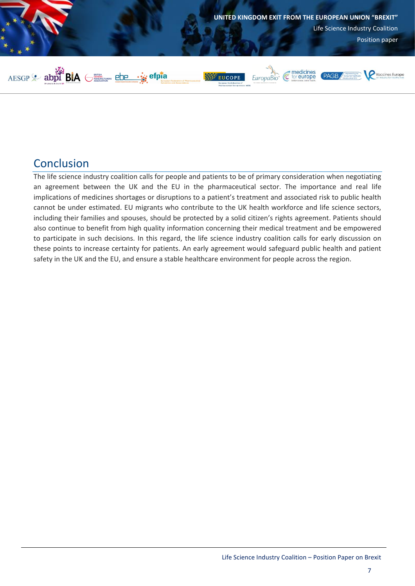

## <span id="page-7-0"></span>Conclusion

The life science industry coalition calls for people and patients to be of primary consideration when negotiating an agreement between the UK and the EU in the pharmaceutical sector. The importance and real life implications of medicines shortages or disruptions to a patient's treatment and associated risk to public health cannot be under estimated. EU migrants who contribute to the UK health workforce and life science sectors, including their families and spouses, should be protected by a solid citizen's rights agreement. Patients should also continue to benefit from high quality information concerning their medical treatment and be empowered to participate in such decisions. In this regard, the life science industry coalition calls for early discussion on these points to increase certainty for patients. An early agreement would safeguard public health and patient safety in the UK and the EU, and ensure a stable healthcare environment for people across the region.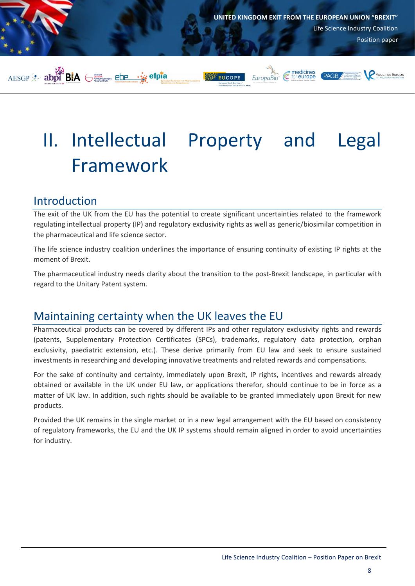

# <span id="page-8-0"></span>II. Intellectual Property and Legal Framework

## <span id="page-8-1"></span>Introduction

The exit of the UK from the EU has the potential to create significant uncertainties related to the framework regulating intellectual property (IP) and regulatory exclusivity rights as well as generic/biosimilar competition in the pharmaceutical and life science sector.

The life science industry coalition underlines the importance of ensuring continuity of existing IP rights at the moment of Brexit.

The pharmaceutical industry needs clarity about the transition to the post-Brexit landscape, in particular with regard to the Unitary Patent system.

## <span id="page-8-2"></span>Maintaining certainty when the UK leaves the EU

Pharmaceutical products can be covered by different IPs and other regulatory exclusivity rights and rewards (patents, Supplementary Protection Certificates (SPCs), trademarks, regulatory data protection, orphan exclusivity, paediatric extension, etc.). These derive primarily from EU law and seek to ensure sustained investments in researching and developing innovative treatments and related rewards and compensations.

For the sake of continuity and certainty, immediately upon Brexit, IP rights, incentives and rewards already obtained or available in the UK under EU law, or applications therefor, should continue to be in force as a matter of UK law. In addition, such rights should be available to be granted immediately upon Brexit for new products.

Provided the UK remains in the single market or in a new legal arrangement with the EU based on consistency of regulatory frameworks, the EU and the UK IP systems should remain aligned in order to avoid uncertainties for industry.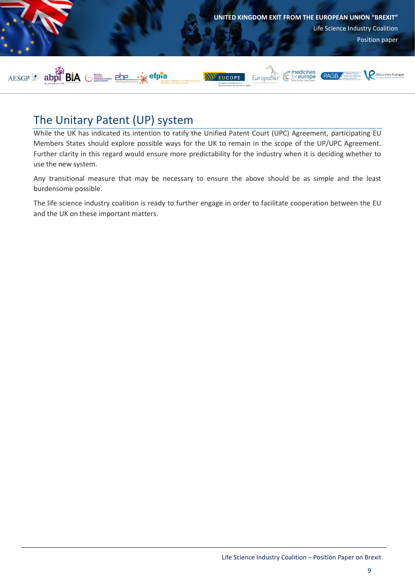

## <span id="page-9-0"></span>The Unitary Patent (UP) system

While the UK has indicated its intention to ratify the Unified Patent Court (UPC) Agreement, participating EU Members States should explore possible ways for the UK to remain in the scope of the UP/UPC Agreement. Further clarity in this regard would ensure more predictability for the industry when it is deciding whether to use the new system.

Any transitional measure that may be necessary to ensure the above should be as simple and the least burdensome possible.

The life science industry coalition is ready to further engage in order to facilitate cooperation between the EU and the UK on these important matters.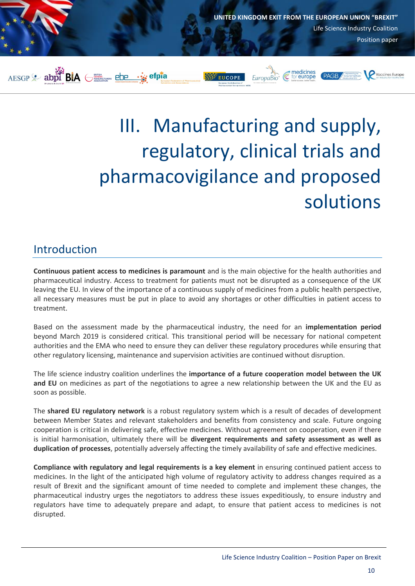

# <span id="page-10-0"></span>III. Manufacturing and supply, regulatory, clinical trials and pharmacovigilance and proposed solutions

## <span id="page-10-1"></span>Introduction

**Continuous patient access to medicines is paramount** and is the main objective for the health authorities and pharmaceutical industry. Access to treatment for patients must not be disrupted as a consequence of the UK leaving the EU. In view of the importance of a continuous supply of medicines from a public health perspective, all necessary measures must be put in place to avoid any shortages or other difficulties in patient access to treatment.

Based on the assessment made by the pharmaceutical industry, the need for an **implementation period** beyond March 2019 is considered critical. This transitional period will be necessary for national competent authorities and the EMA who need to ensure they can deliver these regulatory procedures while ensuring that other regulatory licensing, maintenance and supervision activities are continued without disruption.

The life science industry coalition underlines the **importance of a future cooperation model between the UK and EU** on medicines as part of the negotiations to agree a new relationship between the UK and the EU as soon as possible.

The **shared EU regulatory network** is a robust regulatory system which is a result of decades of development between Member States and relevant stakeholders and benefits from consistency and scale. Future ongoing cooperation is critical in delivering safe, effective medicines. Without agreement on cooperation, even if there is initial harmonisation, ultimately there will be **divergent requirements and safety assessment as well as duplication of processes**, potentially adversely affecting the timely availability of safe and effective medicines.

**Compliance with regulatory and legal requirements is a key element** in ensuring continued patient access to medicines. In the light of the anticipated high volume of regulatory activity to address changes required as a result of Brexit and the significant amount of time needed to complete and implement these changes, the pharmaceutical industry urges the negotiators to address these issues expeditiously, to ensure industry and regulators have time to adequately prepare and adapt, to ensure that patient access to medicines is not disrupted.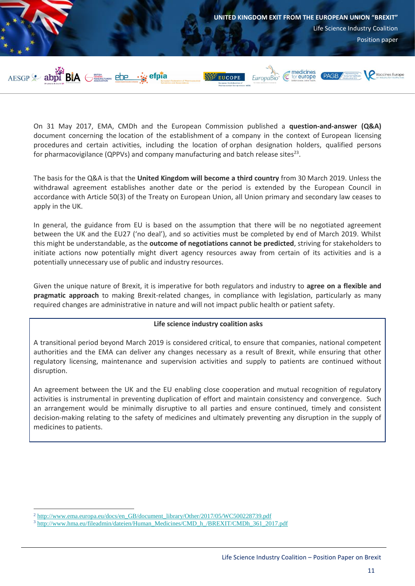

On 31 May 2017, EMA, CMDh and the European Commission published a **question-and-answer (Q&A)** document concerning the location of the establishment of a company in the context of European licensing procedures and certain activities, including the location of orphan designation holders, qualified persons for pharmacovigilance (QPPVs) and company manufacturing and batch release sites<sup>23</sup>.

The basis for the Q&A is that the **United Kingdom will become a third country** from 30 March 2019. Unless the withdrawal agreement establishes another date or the period is extended by the European Council in accordance with Article 50(3) of the Treaty on European Union, all Union primary and secondary law ceases to apply in the UK.

In general, the guidance from EU is based on the assumption that there will be no negotiated agreement between the UK and the EU27 ('no deal'), and so activities must be completed by end of March 2019. Whilst this might be understandable, as the **outcome of negotiations cannot be predicted**, striving for stakeholders to initiate actions now potentially might divert agency resources away from certain of its activities and is a potentially unnecessary use of public and industry resources.

Given the unique nature of Brexit, it is imperative for both regulators and industry to **agree on a flexible and pragmatic approach** to making Brexit-related changes, in compliance with legislation, particularly as many required changes are administrative in nature and will not impact public health or patient safety.

#### **Life science industry coalition asks**

A transitional period beyond March 2019 is considered critical, to ensure that companies, national competent authorities and the EMA can deliver any changes necessary as a result of Brexit, while ensuring that other regulatory licensing, maintenance and supervision activities and supply to patients are continued without disruption.

An agreement between the UK and the EU enabling close cooperation and mutual recognition of regulatory activities is instrumental in preventing duplication of effort and maintain consistency and convergence. Such an arrangement would be minimally disruptive to all parties and ensure continued, timely and consistent decision-making relating to the safety of medicines and ultimately preventing any disruption in the supply of medicines to patients.

 $\overline{a}$ 

<sup>2</sup> [http://www.ema.europa.eu/docs/en\\_GB/document\\_library/Other/2017/05/WC500228739.pdf](http://www.ema.europa.eu/docs/en_GB/document_library/Other/2017/05/WC500228739.pdf)

<sup>&</sup>lt;sup>3</sup> http://www.hma.eu/fileadmin/dateien/Human\_Medicines/CMD\_h\_/BREXIT/CMDh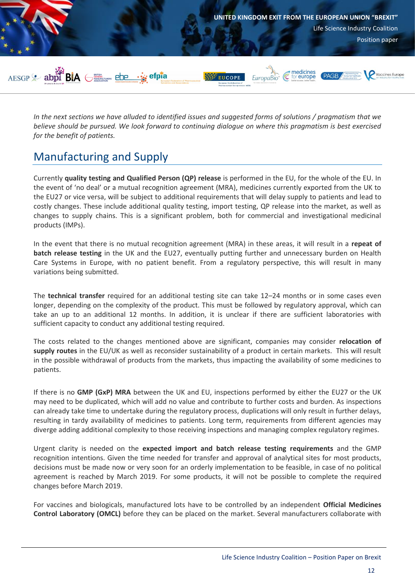

*In the next sections we have alluded to identified issues and suggested forms of solutions / pragmatism that we believe should be pursued. We look forward to continuing dialogue on where this pragmatism is best exercised for the benefit of patients.*

## <span id="page-12-0"></span>Manufacturing and Supply

Currently **quality testing and Qualified Person (QP) release** is performed in the EU, for the whole of the EU. In the event of 'no deal' or a mutual recognition agreement (MRA), medicines currently exported from the UK to the EU27 or vice versa, will be subject to additional requirements that will delay supply to patients and lead to costly changes. These include additional quality testing, import testing, QP release into the market, as well as changes to supply chains. This is a significant problem, both for commercial and investigational medicinal products (IMPs).

In the event that there is no mutual recognition agreement (MRA) in these areas, it will result in a **repeat of batch release testing** in the UK and the EU27, eventually putting further and unnecessary burden on Health Care Systems in Europe, with no patient benefit. From a regulatory perspective, this will result in many variations being submitted.

The **technical transfer** required for an additional testing site can take 12–24 months or in some cases even longer, depending on the complexity of the product. This must be followed by regulatory approval, which can take an up to an additional 12 months. In addition, it is unclear if there are sufficient laboratories with sufficient capacity to conduct any additional testing required.

The costs related to the changes mentioned above are significant, companies may consider **relocation of supply routes** in the EU/UK as well as reconsider sustainability of a product in certain markets. This will result in the possible withdrawal of products from the markets, thus impacting the availability of some medicines to patients.

If there is no **GMP (GxP) MRA** between the UK and EU, inspections performed by either the EU27 or the UK may need to be duplicated, which will add no value and contribute to further costs and burden. As inspections can already take time to undertake during the regulatory process, duplications will only result in further delays, resulting in tardy availability of medicines to patients. Long term, requirements from different agencies may diverge adding additional complexity to those receiving inspections and managing complex regulatory regimes.

Urgent clarity is needed on the **expected import and batch release testing requirements** and the GMP recognition intentions. Given the time needed for transfer and approval of analytical sites for most products, decisions must be made now or very soon for an orderly implementation to be feasible, in case of no political agreement is reached by March 2019. For some products, it will not be possible to complete the required changes before March 2019.

For vaccines and biologicals, manufactured lots have to be controlled by an independent **Official Medicines Control Laboratory (OMCL)** before they can be placed on the market. Several manufacturers collaborate with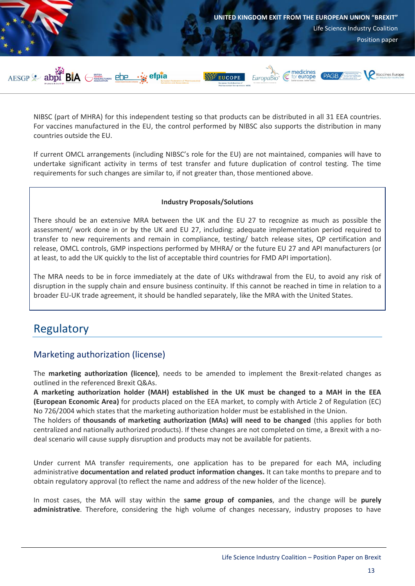

NIBSC (part of MHRA) for this independent testing so that products can be distributed in all 31 EEA countries. For vaccines manufactured in the EU, the control performed by NIBSC also supports the distribution in many countries outside the EU.

If current OMCL arrangements (including NIBSC's role for the EU) are not maintained, companies will have to undertake significant activity in terms of test transfer and future duplication of control testing. The time requirements for such changes are similar to, if not greater than, those mentioned above.

#### **Industry Proposals/Solutions**

There should be an extensive MRA between the UK and the EU 27 to recognize as much as possible the assessment/ work done in or by the UK and EU 27, including: adequate implementation period required to transfer to new requirements and remain in compliance, testing/ batch release sites, QP certification and release, OMCL controls, GMP inspections performed by MHRA/ or the future EU 27 and API manufacturers (or at least, to add the UK quickly to the list of acceptable third countries for FMD API importation).

The MRA needs to be in force immediately at the date of UKs withdrawal from the EU, to avoid any risk of disruption in the supply chain and ensure business continuity. If this cannot be reached in time in relation to a broader EU-UK trade agreement, it should be handled separately, like the MRA with the United States.

## <span id="page-13-0"></span>Regulatory

## <span id="page-13-1"></span>Marketing authorization (license)

The **marketing authorization (licence)**, needs to be amended to implement the Brexit-related changes as outlined in the referenced Brexit Q&As.

**A marketing authorization holder (MAH) established in the UK must be changed to a MAH in the EEA (European Economic Area)** for products placed on the EEA market, to comply with Article 2 of Regulation (EC) No 726/2004 which states that the marketing authorization holder must be established in the Union.

The holders of **thousands of marketing authorization (MAs) will need to be changed** (this applies for both centralized and nationally authorized products). If these changes are not completed on time, a Brexit with a nodeal scenario will cause supply disruption and products may not be available for patients.

Under current MA transfer requirements, one application has to be prepared for each MA, including administrative **documentation and related product information changes.** It can take months to prepare and to obtain regulatory approval (to reflect the name and address of the new holder of the licence).

In most cases, the MA will stay within the **same group of companies**, and the change will be **purely administrative**. Therefore, considering the high volume of changes necessary, industry proposes to have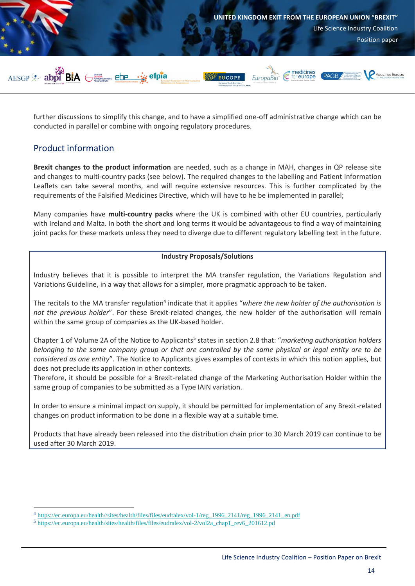

further discussions to simplify this change, and to have a simplified one-off administrative change which can be conducted in parallel or combine with ongoing regulatory procedures.

### <span id="page-14-0"></span>Product information

 $\overline{a}$ 

**Brexit changes to the product information** are needed, such as a change in MAH, changes in QP release site and changes to multi-country packs (see below). The required changes to the labelling and Patient Information Leaflets can take several months, and will require extensive resources. This is further complicated by the requirements of the Falsified Medicines Directive, which will have to he be implemented in parallel;

Many companies have **multi-country packs** where the UK is combined with other EU countries, particularly with Ireland and Malta. In both the short and long terms it would be advantageous to find a way of maintaining joint packs for these markets unless they need to diverge due to different regulatory labelling text in the future.

#### **Industry Proposals/Solutions**

Industry believes that it is possible to interpret the MA transfer regulation, the Variations Regulation and Variations Guideline, in a way that allows for a simpler, more pragmatic approach to be taken.

The recitals to the MA transfer regulation<sup>4</sup> indicate that it applies "where the new holder of the authorisation is *not the previous holder*". For these Brexit-related changes, the new holder of the authorisation will remain within the same group of companies as the UK-based holder.

Chapter 1 of Volume 2A of the Notice to Applicants<sup>5</sup> states in section 2.8 that: "*marketing authorisation holders belonging to the same company group or that are controlled by the same physical or legal entity are to be considered as one entity*". The Notice to Applicants gives examples of contexts in which this notion applies, but does not preclude its application in other contexts.

Therefore, it should be possible for a Brexit-related change of the Marketing Authorisation Holder within the same group of companies to be submitted as a Type IAIN variation.

In order to ensure a minimal impact on supply, it should be permitted for implementation of any Brexit-related changes on product information to be done in a flexible way at a suitable time.

Products that have already been released into the distribution chain prior to 30 March 2019 can continue to be used after 30 March 2019.

<sup>&</sup>lt;sup>4</sup> [https://ec.europa.eu/health//sites/health/files/files/eudralex/vol-1/reg\\_1996\\_2141/reg\\_1996\\_2141\\_en.pdf](https://ec.europa.eu/health/sites/health/files/files/eudralex/vol-2/vol2a_chap1_rev6_201612.pdf)

<sup>&</sup>lt;sup>5</sup> [https://ec.europa.eu/health/sites/health/files/files/eudralex/vol-2/vol2a\\_chap1\\_rev6\\_201612.pd](https://ec.europa.eu/health/sites/health/files/files/eudralex/vol-2/vol2a_chap1_rev6_201612.pdf)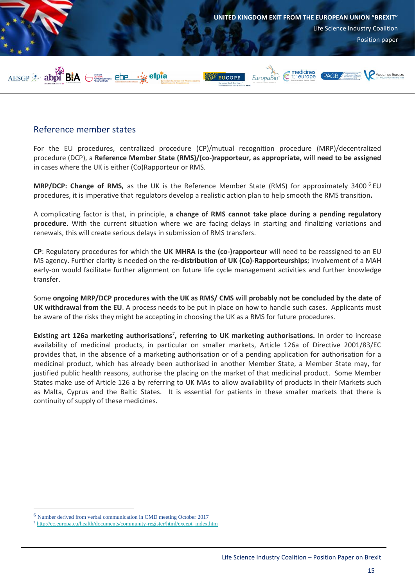

### <span id="page-15-0"></span>Reference member states

For the EU procedures, centralized procedure (CP)/mutual recognition procedure (MRP)/decentralized procedure (DCP), a **Reference Member State (RMS)/(co-)rapporteur, as appropriate, will need to be assigned** in cases where the UK is either (Co)Rapporteur or RMS.

**MRP/DCP: Change of RMS,** as the UK is the Reference Member State (RMS) for approximately 3400<sup>6</sup> EU procedures, it is imperative that regulators develop a realistic action plan to help smooth the RMS transition**.**

A complicating factor is that, in principle, **a change of RMS cannot take place during a pending regulatory procedure**. With the current situation where we are facing delays in starting and finalizing variations and renewals, this will create serious delays in submission of RMS transfers.

**CP**: Regulatory procedures for which the **UK MHRA is the (co-)rapporteur** will need to be reassigned to an EU MS agency. Further clarity is needed on the **re-distribution of UK (Co)-Rapporteurships**; involvement of a MAH early-on would facilitate further alignment on future life cycle management activities and further knowledge transfer.

Some **ongoing MRP/DCP procedures with the UK as RMS/ CMS will probably not be concluded by the date of UK withdrawal from the EU**. A process needs to be put in place on how to handle such cases. Applicants must be aware of the risks they might be accepting in choosing the UK as a RMS for future procedures.

Existing art 126a marketing authorisations<sup>7</sup>, referring to UK marketing authorisations. In order to increase availability of medicinal products, in particular on smaller markets, Article 126a of Directive 2001/83/EC provides that, in the absence of a marketing authorisation or of a pending application for authorisation for a medicinal product, which has already been authorised in another Member State, a Member State may, for justified public health reasons, authorise the placing on the market of that medicinal product. Some Member States make use of Article 126 a by referring to UK MAs to allow availability of products in their Markets such as Malta, Cyprus and the Baltic States. It is essential for patients in these smaller markets that there is continuity of supply of these medicines.

 $\overline{a}$ 

<sup>6</sup> Number derived from verbal communication in CMD meeting October 2017

<sup>7</sup> [http://ec.europa.eu/health/documents/community-register/html/except\\_index.htm](http://ec.europa.eu/health/documents/community-register/html/except_index.htm)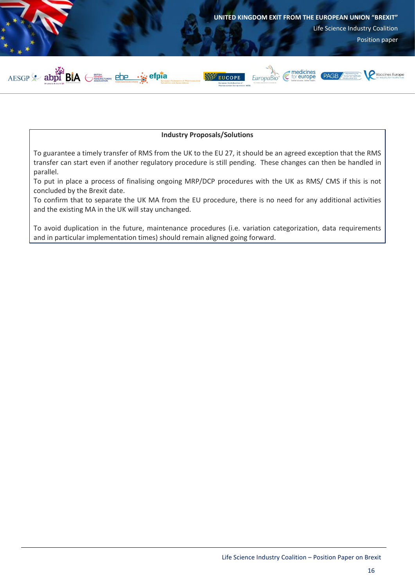

#### **Industry Proposals/Solutions**

To guarantee a timely transfer of RMS from the UK to the EU 27, it should be an agreed exception that the RMS transfer can start even if another regulatory procedure is still pending. These changes can then be handled in parallel.

To put in place a process of finalising ongoing MRP/DCP procedures with the UK as RMS/ CMS if this is not concluded by the Brexit date.

To confirm that to separate the UK MA from the EU procedure, there is no need for any additional activities and the existing MA in the UK will stay unchanged.

To avoid duplication in the future, maintenance procedures (i.e. variation categorization, data requirements and in particular implementation times) should remain aligned going forward.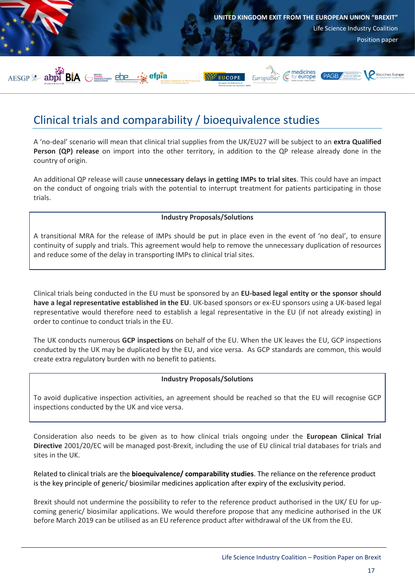

## <span id="page-17-0"></span>Clinical trials and comparability / bioequivalence studies

A 'no-deal' scenario will mean that clinical trial supplies from the UK/EU27 will be subject to an **extra Qualified Person (QP) release** on import into the other territory, in addition to the QP release already done in the country of origin.

An additional QP release will cause **unnecessary delays in getting IMPs to trial sites**. This could have an impact on the conduct of ongoing trials with the potential to interrupt treatment for patients participating in those trials.

#### **Industry Proposals/Solutions**

A transitional MRA for the release of IMPs should be put in place even in the event of 'no deal', to ensure continuity of supply and trials. This agreement would help to remove the unnecessary duplication of resources and reduce some of the delay in transporting IMPs to clinical trial sites.

Clinical trials being conducted in the EU must be sponsored by an **EU-based legal entity or the sponsor should have a legal representative established in the EU**. UK-based sponsors or ex-EU sponsors using a UK-based legal representative would therefore need to establish a legal representative in the EU (if not already existing) in order to continue to conduct trials in the EU.

The UK conducts numerous **GCP inspections** on behalf of the EU. When the UK leaves the EU, GCP inspections conducted by the UK may be duplicated by the EU, and vice versa. As GCP standards are common, this would create extra regulatory burden with no benefit to patients.

#### **Industry Proposals/Solutions**

To avoid duplicative inspection activities, an agreement should be reached so that the EU will recognise GCP inspections conducted by the UK and vice versa.

Consideration also needs to be given as to how clinical trials ongoing under the **European Clinical Trial Directive** 2001/20/EC will be managed post-Brexit, including the use of EU clinical trial databases for trials and sites in the UK.

Related to clinical trials are the **bioequivalence/ comparability studies**. The reliance on the reference product is the key principle of generic/ biosimilar medicines application after expiry of the exclusivity period.

Brexit should not undermine the possibility to refer to the reference product authorised in the UK/ EU for upcoming generic/ biosimilar applications. We would therefore propose that any medicine authorised in the UK before March 2019 can be utilised as an EU reference product after withdrawal of the UK from the EU.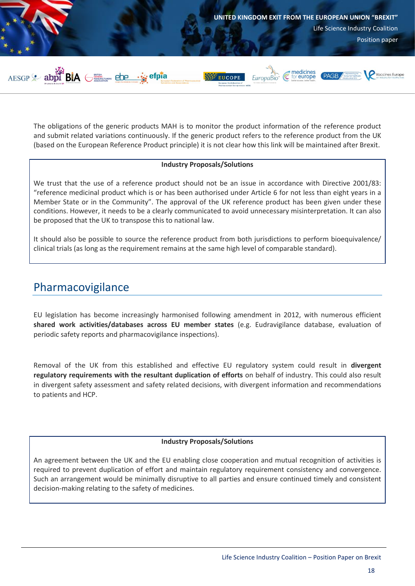

The obligations of the generic products MAH is to monitor the product information of the reference product and submit related variations continuously. If the generic product refers to the reference product from the UK (based on the European Reference Product principle) it is not clear how this link will be maintained after Brexit.

#### **Industry Proposals/Solutions**

We trust that the use of a reference product should not be an issue in accordance with Directive 2001/83: "reference medicinal product which is or has been authorised under Article 6 for not less than eight years in a Member State or in the Community". The approval of the UK reference product has been given under these conditions. However, it needs to be a clearly communicated to avoid unnecessary misinterpretation. It can also be proposed that the UK to transpose this to national law.

It should also be possible to source the reference product from both jurisdictions to perform bioequivalence/ clinical trials (as long as the requirement remains at the same high level of comparable standard).

## <span id="page-18-0"></span>Pharmacovigilance

EU legislation has become increasingly harmonised following amendment in 2012, with numerous efficient **shared work activities/databases across EU member states** (e.g. Eudravigilance database, evaluation of periodic safety reports and pharmacovigilance inspections).

Removal of the UK from this established and effective EU regulatory system could result in **divergent regulatory requirements with the resultant duplication of efforts** on behalf of industry. This could also result in divergent safety assessment and safety related decisions, with divergent information and recommendations to patients and HCP.

#### **Industry Proposals/Solutions**

An agreement between the UK and the EU enabling close cooperation and mutual recognition of activities is required to prevent duplication of effort and maintain regulatory requirement consistency and convergence. Such an arrangement would be minimally disruptive to all parties and ensure continued timely and consistent decision-making relating to the safety of medicines.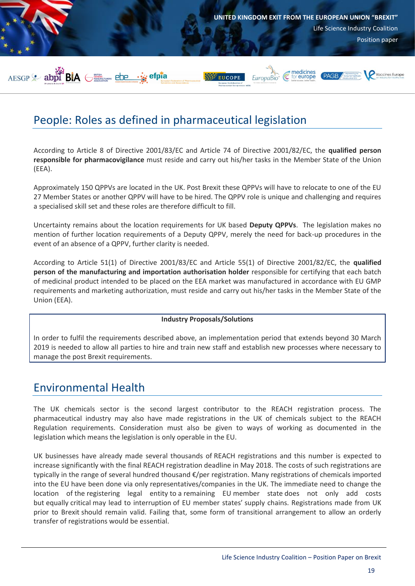

## <span id="page-19-0"></span>People: Roles as defined in pharmaceutical legislation

According to Article 8 of Directive 2001/83/EC and Article 74 of Directive 2001/82/EC, the **qualified person responsible for pharmacovigilance** must reside and carry out his/her tasks in the Member State of the Union (EEA).

Approximately 150 QPPVs are located in the UK. Post Brexit these QPPVs will have to relocate to one of the EU 27 Member States or another QPPV will have to be hired. The QPPV role is unique and challenging and requires a specialised skill set and these roles are therefore difficult to fill.

Uncertainty remains about the location requirements for UK based **Deputy QPPVs**. The legislation makes no mention of further location requirements of a Deputy QPPV, merely the need for back-up procedures in the event of an absence of a QPPV, further clarity is needed.

According to Article 51(1) of Directive 2001/83/EC and Article 55(1) of Directive 2001/82/EC, the **qualified person of the manufacturing and importation authorisation holder** responsible for certifying that each batch of medicinal product intended to be placed on the EEA market was manufactured in accordance with EU GMP requirements and marketing authorization, must reside and carry out his/her tasks in the Member State of the Union (EEA).

#### **Industry Proposals/Solutions**

In order to fulfil the requirements described above, an implementation period that extends beyond 30 March 2019 is needed to allow all parties to hire and train new staff and establish new processes where necessary to manage the post Brexit requirements.

## <span id="page-19-1"></span>Environmental Health

The UK chemicals sector is the second largest contributor to the REACH registration process. The pharmaceutical industry may also have made registrations in the UK of chemicals subject to the REACH Regulation requirements. Consideration must also be given to ways of working as documented in the legislation which means the legislation is only operable in the EU.

UK businesses have already made several thousands of REACH registrations and this number is expected to increase significantly with the final REACH registration deadline in May 2018. The costs of such registrations are typically in the range of several hundred thousand €/per registration. Many registrations of chemicals imported into the EU have been done via only representatives/companies in the UK. The immediate need to change the location of the registering legal entity to a remaining EU member state does not only add costs but equally critical may lead to interruption of EU member states' supply chains. Registrations made from UK prior to Brexit should remain valid. Failing that, some form of transitional arrangement to allow an orderly transfer of registrations would be essential.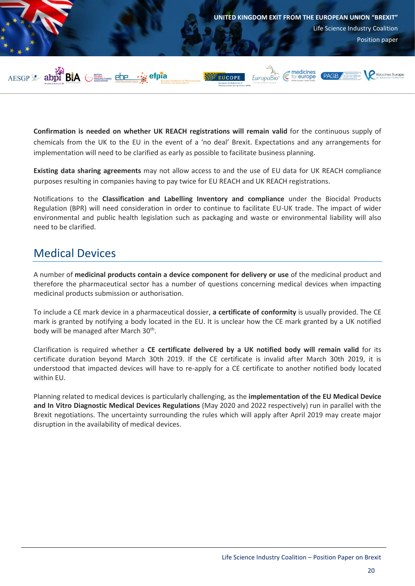

**Confirmation is needed on whether UK REACH registrations will remain valid** for the continuous supply of chemicals from the UK to the EU in the event of a 'no deal' Brexit. Expectations and any arrangements for implementation will need to be clarified as early as possible to facilitate business planning.

**Existing data sharing agreements** may not allow access to and the use of EU data for UK REACH compliance purposes resulting in companies having to pay twice for EU REACH and UK REACH registrations.

Notifications to the **Classification and Labelling Inventory and compliance** under the Biocidal Products Regulation (BPR) will need consideration in order to continue to facilitate EU-UK trade. The impact of wider environmental and public health legislation such as packaging and waste or environmental liability will also need to be clarified.

## <span id="page-20-0"></span>Medical Devices

A number of **medicinal products contain a device component for delivery or use** of the medicinal product and therefore the pharmaceutical sector has a number of questions concerning medical devices when impacting medicinal products submission or authorisation.

To include a CE mark device in a pharmaceutical dossier, **a certificate of conformity** is usually provided. The CE mark is granted by notifying a body located in the EU. It is unclear how the CE mark granted by a UK notified body will be managed after March 30<sup>th</sup>.

Clarification is required whether a **CE certificate delivered by a UK notified body will remain valid** for its certificate duration beyond March 30th 2019. If the CE certificate is invalid after March 30th 2019, it is understood that impacted devices will have to re-apply for a CE certificate to another notified body located within EU.

Planning related to medical devices is particularly challenging, as the **implementation of the EU Medical Device and In Vitro Diagnostic Medical Devices Regulations** (May 2020 and 2022 respectively) run in parallel with the Brexit negotiations. The uncertainty surrounding the rules which will apply after April 2019 may create major disruption in the availability of medical devices.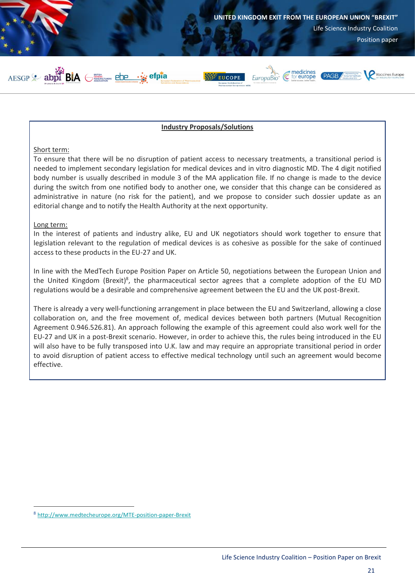

#### **Industry Proposals/Solutions**

#### Short term:

To ensure that there will be no disruption of patient access to necessary treatments, a transitional period is needed to implement secondary legislation for medical devices and in vitro diagnostic MD. The 4 digit notified body number is usually described in module 3 of the MA application file. If no change is made to the device during the switch from one notified body to another one, we consider that this change can be considered as administrative in nature (no risk for the patient), and we propose to consider such dossier update as an editorial change and to notify the Health Authority at the next opportunity.

#### Long term:

 $\overline{a}$ 

In the interest of patients and industry alike, EU and UK negotiators should work together to ensure that legislation relevant to the regulation of medical devices is as cohesive as possible for the sake of continued access to these products in the EU-27 and UK.

In line with the MedTech Europe Position Paper on Article 50, negotiations between the European Union and the United Kingdom (Brexit)<sup>8</sup>, the pharmaceutical sector agrees that a complete adoption of the EU MD regulations would be a desirable and comprehensive agreement between the EU and the UK post-Brexit.

There is already a very well-functioning arrangement in place between the EU and Switzerland, allowing a close collaboration on, and the free movement of, medical devices between both partners (Mutual Recognition Agreement 0.946.526.81). An approach following the example of this agreement could also work well for the EU-27 and UK in a post-Brexit scenario. However, in order to achieve this, the rules being introduced in the EU will also have to be fully transposed into U.K. law and may require an appropriate transitional period in order to avoid disruption of patient access to effective medical technology until such an agreement would become effective.

<sup>8</sup> <http://www.medtecheurope.org/MTE-position-paper-Brexit>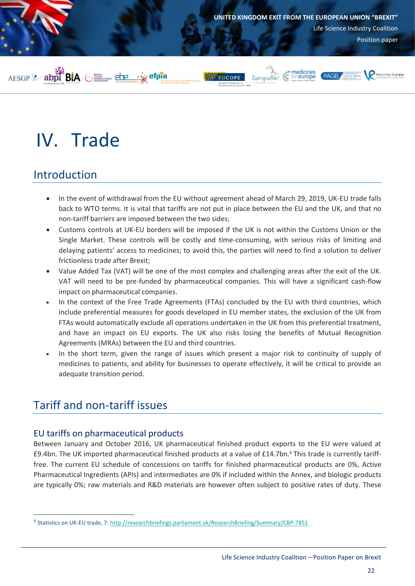

# <span id="page-22-0"></span>IV. Trade

## <span id="page-22-1"></span>Introduction

- In the event of withdrawal from the EU without agreement ahead of March 29, 2019, UK-EU trade falls back to WTO terms. It is vital that tariffs are not put in place between the EU and the UK, and that no non-tariff barriers are imposed between the two sides;
- Customs controls at UK-EU borders will be imposed if the UK is not within the Customs Union or the Single Market. These controls will be costly and time-consuming, with serious risks of limiting and delaying patients' access to medicines; to avoid this, the parties will need to find a solution to deliver frictionless trade after Brexit;
- Value Added Tax (VAT) will be one of the most complex and challenging areas after the exit of the UK. VAT will need to be pre-funded by pharmaceutical companies. This will have a significant cash-flow impact on pharmaceutical companies.
- In the context of the Free Trade Agreements (FTAs) concluded by the EU with third countries, which include preferential measures for goods developed in EU member states, the exclusion of the UK from FTAs would automatically exclude all operations undertaken in the UK from this preferential treatment, and have an impact on EU exports. The UK also risks losing the benefits of Mutual Recognition Agreements (MRAs) between the EU and third countries.
- In the short term, given the range of issues which present a major risk to continuity of supply of medicines to patients, and ability for businesses to operate effectively, it will be critical to provide an adequate transition period.

## <span id="page-22-2"></span>Tariff and non-tariff issues

 $\overline{a}$ 

### <span id="page-22-3"></span>EU tariffs on pharmaceutical products

Between January and October 2016, UK pharmaceutical finished product exports to the EU were valued at £9.4bn. The UK imported pharmaceutical finished products at a value of £14.7bn.<sup>9</sup> This trade is currently tarifffree. The current EU schedule of concessions on tariffs for finished pharmaceutical products are 0%, Active Pharmaceutical Ingredients (APIs) and intermediates are 0% if included within the Annex, and biologic products are typically 0%; raw materials and R&D materials are however often subject to positive rates of duty. These

<sup>&</sup>lt;sup>9</sup> Statistics on UK-EU trade, 7:<http://researchbriefings.parliament.uk/ResearchBriefing/Summary/CBP-7851>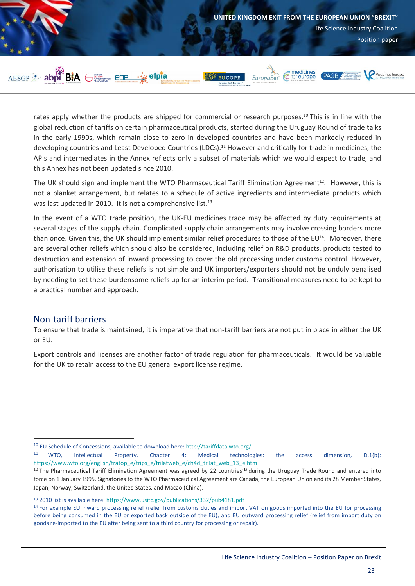

rates apply whether the products are shipped for commercial or research purposes.<sup>10</sup> This is in line with the global reduction of tariffs on certain pharmaceutical products, started during the Uruguay Round of trade talks in the early 1990s, which remain close to zero in developed countries and have been markedly reduced in developing countries and Least Developed Countries (LDCs). <sup>11</sup> However and critically for trade in medicines, the APIs and intermediates in the Annex reflects only a subset of materials which we would expect to trade, and this Annex has not been updated since 2010.

The UK should sign and implement the WTO Pharmaceutical Tariff Elimination Agreement<sup>12</sup>. However, this is not a blanket arrangement, but relates to a schedule of active ingredients and intermediate products which was last updated in 2010. It is not a comprehensive list.<sup>13</sup>

In the event of a WTO trade position, the UK-EU medicines trade may be affected by duty requirements at several stages of the supply chain. Complicated supply chain arrangements may involve crossing borders more than once. Given this, the UK should implement similar relief procedures to those of the EU<sup>14</sup>. Moreover, there are several other reliefs which should also be considered, including relief on R&D products, products tested to destruction and extension of inward processing to cover the old processing under customs control. However, authorisation to utilise these reliefs is not simple and UK importers/exporters should not be unduly penalised by needing to set these burdensome reliefs up for an interim period. Transitional measures need to be kept to a practical number and approach.

### <span id="page-23-0"></span>Non-tariff barriers

 $\overline{a}$ 

To ensure that trade is maintained, it is imperative that non-tariff barriers are not put in place in either the UK or EU.

Export controls and licenses are another factor of trade regulation for pharmaceuticals. It would be valuable for the UK to retain access to the EU general export license regime.

<sup>&</sup>lt;sup>10</sup> EU Schedule of Concessions, available to download here:<http://tariffdata.wto.org/>

<sup>&</sup>lt;sup>11</sup> WTO, Intellectual Property, Chapter 4: Medical technologies: the access dimension, D.1(b): [https://www.wto.org/english/tratop\\_e/trips\\_e/trilatweb\\_e/ch4d\\_trilat\\_web\\_13\\_e.htm](https://www.wto.org/english/tratop_e/trips_e/trilatweb_e/ch4d_trilat_web_13_e.htm)

<sup>12</sup> The Pharmaceutical Tariff Elimination Agreement was agreed by 22 countries**[\(1\)](http://www.europarl.europa.eu/sides/getDoc.do?pubRef=-//EP//TEXT+WQ+E-2004-0213+0+DOC+XML+V0//EN&language=bg#def1)** during the Uruguay Trade Round and entered into force on 1 January 1995. Signatories to the WTO Pharmaceutical Agreement are Canada, the European Union and its 28 Member States, Japan, Norway, Switzerland, the United States, and Macao (China).

<sup>13</sup> 2010 list is available here[: https://www.usitc.gov/publications/332/pub4181.pdf](https://www.usitc.gov/publications/332/pub4181.pdf) 

<sup>&</sup>lt;sup>14</sup> For example EU inward processing relief (relief from customs duties and import VAT on goods imported into the EU for processing before being consumed in the EU or exported back outside of the EU), and EU outward processing relief (relief from import duty on goods re-imported to the EU after being sent to a third country for processing or repair).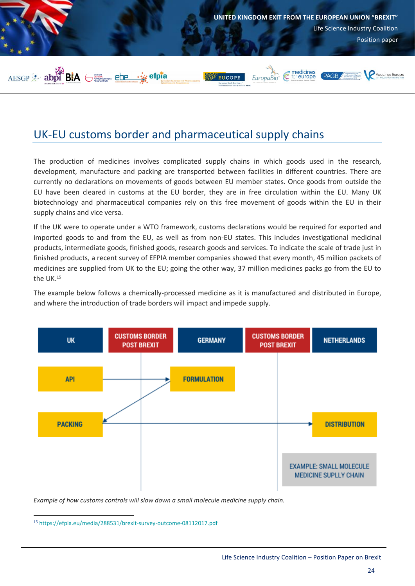

## <span id="page-24-0"></span>UK-EU customs border and pharmaceutical supply chains

The production of medicines involves complicated supply chains in which goods used in the research, development, manufacture and packing are transported between facilities in different countries. There are currently no declarations on movements of goods between EU member states. Once goods from outside the EU have been cleared in customs at the EU border, they are in free circulation within the EU. Many UK biotechnology and pharmaceutical companies rely on this free movement of goods within the EU in their supply chains and vice versa.

If the UK were to operate under a WTO framework, customs declarations would be required for exported and imported goods to and from the EU, as well as from non-EU states. This includes investigational medicinal products, intermediate goods, finished goods, research goods and services. To indicate the scale of trade just in finished products, a recent survey of EFPIA member companies showed that every month, 45 million packets of medicines are supplied from UK to the EU; going the other way, 37 million medicines packs go from the EU to the UK.<sup>15</sup>

The example below follows a chemically-processed medicine as it is manufactured and distributed in Europe, and where the introduction of trade borders will impact and impede supply.



*Example of how customs controls will slow down a small molecule medicine supply chain.* 

<sup>15</sup> <https://efpia.eu/media/288531/brexit-survey-outcome-08112017.pdf>

 $\overline{a}$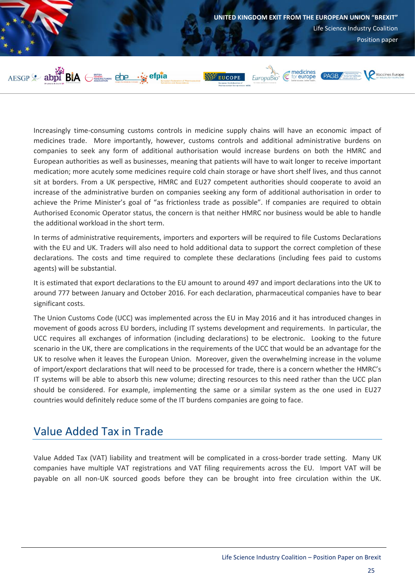

Increasingly time-consuming customs controls in medicine supply chains will have an economic impact of medicines trade. More importantly, however, customs controls and additional administrative burdens on companies to seek any form of additional authorisation would increase burdens on both the HMRC and European authorities as well as businesses, meaning that patients will have to wait longer to receive important medication; more acutely some medicines require cold chain storage or have short shelf lives, and thus cannot sit at borders. From a UK perspective, HMRC and EU27 competent authorities should cooperate to avoid an increase of the administrative burden on companies seeking any form of additional authorisation in order to achieve the Prime Minister's goal of "as frictionless trade as possible". If companies are required to obtain Authorised Economic Operator status, the concern is that neither HMRC nor business would be able to handle the additional workload in the short term.

In terms of administrative requirements, importers and exporters will be required to file Customs Declarations with the EU and UK. Traders will also need to hold additional data to support the correct completion of these declarations. The costs and time required to complete these declarations (including fees paid to customs agents) will be substantial.

It is estimated that export declarations to the EU amount to around 497 and import declarations into the UK to around 777 between January and October 2016. For each declaration, pharmaceutical companies have to bear significant costs.

The Union Customs Code (UCC) was implemented across the EU in May 2016 and it has introduced changes in movement of goods across EU borders, including IT systems development and requirements. In particular, the UCC requires all exchanges of information (including declarations) to be electronic. Looking to the future scenario in the UK, there are complications in the requirements of the UCC that would be an advantage for the UK to resolve when it leaves the European Union. Moreover, given the overwhelming increase in the volume of import/export declarations that will need to be processed for trade, there is a concern whether the HMRC's IT systems will be able to absorb this new volume; directing resources to this need rather than the UCC plan should be considered. For example, implementing the same or a similar system as the one used in EU27 countries would definitely reduce some of the IT burdens companies are going to face.

## <span id="page-25-0"></span>Value Added Tax in Trade

Value Added Tax (VAT) liability and treatment will be complicated in a cross-border trade setting. Many UK companies have multiple VAT registrations and VAT filing requirements across the EU. Import VAT will be payable on all non-UK sourced goods before they can be brought into free circulation within the UK.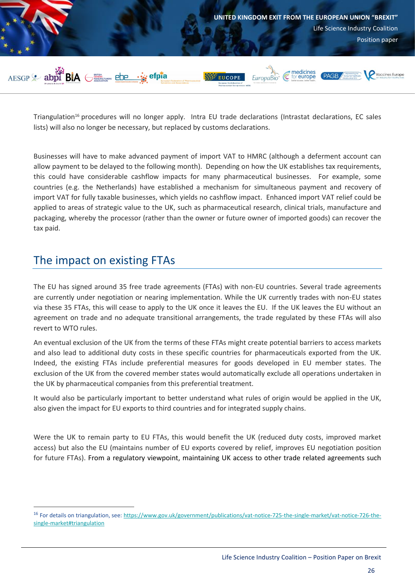

Triangulation<sup>16</sup> procedures will no longer apply. Intra EU trade declarations (Intrastat declarations, EC sales lists) will also no longer be necessary, but replaced by customs declarations.

Businesses will have to make advanced payment of import VAT to HMRC (although a deferment account can allow payment to be delayed to the following month). Depending on how the UK establishes tax requirements, this could have considerable cashflow impacts for many pharmaceutical businesses. For example, some countries (e.g. the Netherlands) have established a mechanism for simultaneous payment and recovery of import VAT for fully taxable businesses, which yields no cashflow impact. Enhanced import VAT relief could be applied to areas of strategic value to the UK, such as pharmaceutical research, clinical trials, manufacture and packaging, whereby the processor (rather than the owner or future owner of imported goods) can recover the tax paid.

## <span id="page-26-0"></span>The impact on existing FTAs

 $\overline{a}$ 

The EU has signed around 35 free trade agreements (FTAs) with non-EU countries. Several trade agreements are currently under negotiation or nearing implementation. While the UK currently trades with non-EU states via these 35 FTAs, this will cease to apply to the UK once it leaves the EU. If the UK leaves the EU without an agreement on trade and no adequate transitional arrangements, the trade regulated by these FTAs will also revert to WTO rules.

An eventual exclusion of the UK from the terms of these FTAs might create potential barriers to access markets and also lead to additional duty costs in these specific countries for pharmaceuticals exported from the UK. Indeed, the existing FTAs include preferential measures for goods developed in EU member states. The exclusion of the UK from the covered member states would automatically exclude all operations undertaken in the UK by pharmaceutical companies from this preferential treatment.

It would also be particularly important to better understand what rules of origin would be applied in the UK, also given the impact for EU exports to third countries and for integrated supply chains.

Were the UK to remain party to EU FTAs, this would benefit the UK (reduced duty costs, improved market access) but also the EU (maintains number of EU exports covered by relief, improves EU negotiation position for future FTAs). From a regulatory viewpoint, maintaining UK access to other trade related agreements such

<sup>&</sup>lt;sup>16</sup> For details on triangulation, see[: https://www.gov.uk/government/publications/vat-notice-725-the-single-market/vat-notice-726-the](https://www.gov.uk/government/publications/vat-notice-725-the-single-market/vat-notice-726-the-single-market#triangulation)[single-market#triangulation](https://www.gov.uk/government/publications/vat-notice-725-the-single-market/vat-notice-726-the-single-market#triangulation)